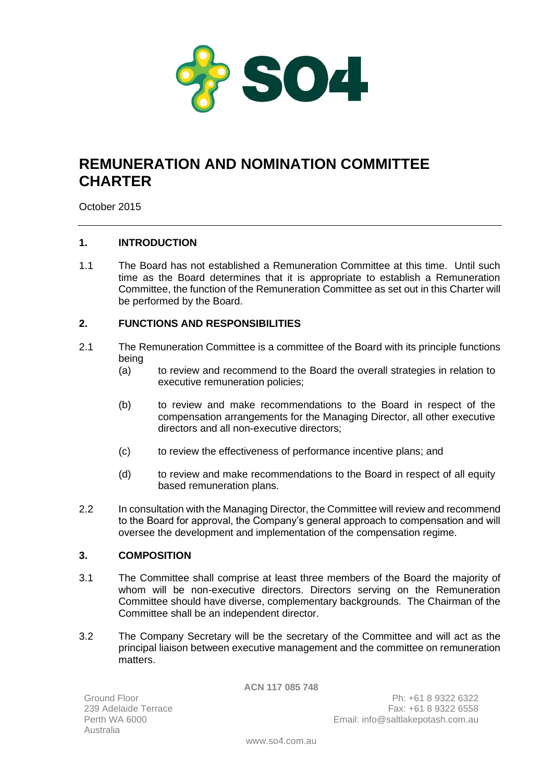

# **REMUNERATION AND NOMINATION COMMITTEE CHARTER**

October 2015

# **1. INTRODUCTION**

1.1 The Board has not established a Remuneration Committee at this time. Until such time as the Board determines that it is appropriate to establish a Remuneration Committee, the function of the Remuneration Committee as set out in this Charter will be performed by the Board.

## **2. FUNCTIONS AND RESPONSIBILITIES**

- 2.1 The Remuneration Committee is a committee of the Board with its principle functions being
	- (a) to review and recommend to the Board the overall strategies in relation to executive remuneration policies;
	- (b) to review and make recommendations to the Board in respect of the compensation arrangements for the Managing Director, all other executive directors and all non-executive directors;
	- (c) to review the effectiveness of performance incentive plans; and
	- (d) to review and make recommendations to the Board in respect of all equity based remuneration plans.
- 2.2 In consultation with the Managing Director, the Committee will review and recommend to the Board for approval, the Company's general approach to compensation and will oversee the development and implementation of the compensation regime.

## **3. COMPOSITION**

- 3.1 The Committee shall comprise at least three members of the Board the majority of whom will be non-executive directors. Directors serving on the Remuneration Committee should have diverse, complementary backgrounds. The Chairman of the Committee shall be an independent director.
- 3.2 The Company Secretary will be the secretary of the Committee and will act as the principal liaison between executive management and the committee on remuneration matters.

**ACN 117 085 748**

Ground Floor 239 Adelaide Terrace Australia

Ph: +61 8 9322 6322 Fax: +61 8 9322 6558 Perth WA 6000 Email: info@saltlakepotash.com.au

www.so4.com.au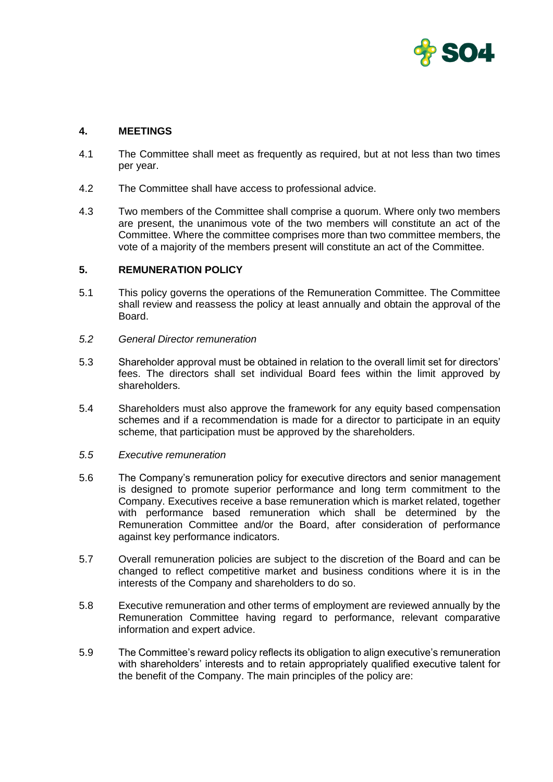

## **4. MEETINGS**

- 4.1 The Committee shall meet as frequently as required, but at not less than two times per year.
- 4.2 The Committee shall have access to professional advice.
- 4.3 Two members of the Committee shall comprise a quorum. Where only two members are present, the unanimous vote of the two members will constitute an act of the Committee. Where the committee comprises more than two committee members, the vote of a majority of the members present will constitute an act of the Committee.

### **5. REMUNERATION POLICY**

- 5.1 This policy governs the operations of the Remuneration Committee. The Committee shall review and reassess the policy at least annually and obtain the approval of the Board.
- *5.2 General Director remuneration*
- 5.3 Shareholder approval must be obtained in relation to the overall limit set for directors' fees. The directors shall set individual Board fees within the limit approved by shareholders.
- 5.4 Shareholders must also approve the framework for any equity based compensation schemes and if a recommendation is made for a director to participate in an equity scheme, that participation must be approved by the shareholders.
- *5.5 Executive remuneration*
- 5.6 The Company's remuneration policy for executive directors and senior management is designed to promote superior performance and long term commitment to the Company. Executives receive a base remuneration which is market related, together with performance based remuneration which shall be determined by the Remuneration Committee and/or the Board, after consideration of performance against key performance indicators.
- 5.7 Overall remuneration policies are subject to the discretion of the Board and can be changed to reflect competitive market and business conditions where it is in the interests of the Company and shareholders to do so.
- 5.8 Executive remuneration and other terms of employment are reviewed annually by the Remuneration Committee having regard to performance, relevant comparative information and expert advice.
- 5.9 The Committee's reward policy reflects its obligation to align executive's remuneration with shareholders' interests and to retain appropriately qualified executive talent for the benefit of the Company. The main principles of the policy are: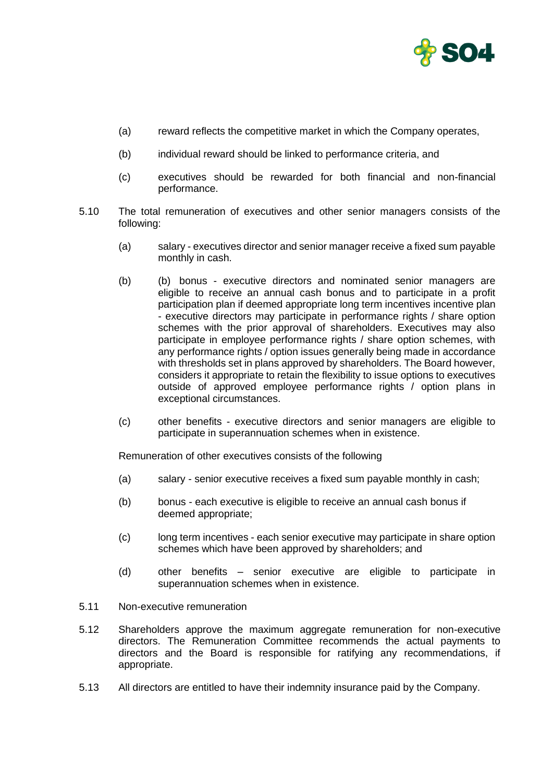

- (a) reward reflects the competitive market in which the Company operates,
- (b) individual reward should be linked to performance criteria, and
- (c) executives should be rewarded for both financial and non-financial performance.
- 5.10 The total remuneration of executives and other senior managers consists of the following:
	- (a) salary executives director and senior manager receive a fixed sum payable monthly in cash.
	- (b) (b) bonus executive directors and nominated senior managers are eligible to receive an annual cash bonus and to participate in a profit participation plan if deemed appropriate long term incentives incentive plan - executive directors may participate in performance rights / share option schemes with the prior approval of shareholders. Executives may also participate in employee performance rights / share option schemes, with any performance rights / option issues generally being made in accordance with thresholds set in plans approved by shareholders. The Board however, considers it appropriate to retain the flexibility to issue options to executives outside of approved employee performance rights / option plans in exceptional circumstances.
	- (c) other benefits executive directors and senior managers are eligible to participate in superannuation schemes when in existence.

Remuneration of other executives consists of the following

- (a) salary senior executive receives a fixed sum payable monthly in cash;
- (b) bonus each executive is eligible to receive an annual cash bonus if deemed appropriate;
- (c) long term incentives each senior executive may participate in share option schemes which have been approved by shareholders; and
- (d) other benefits senior executive are eligible to participate in superannuation schemes when in existence.
- 5.11 Non-executive remuneration
- 5.12 Shareholders approve the maximum aggregate remuneration for non-executive directors. The Remuneration Committee recommends the actual payments to directors and the Board is responsible for ratifying any recommendations, if appropriate.
- 5.13 All directors are entitled to have their indemnity insurance paid by the Company.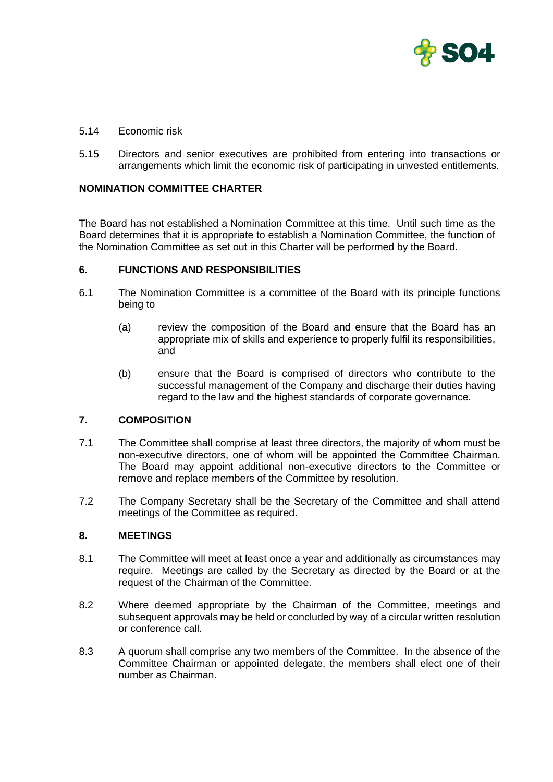

- 5.14 Economic risk
- 5.15 Directors and senior executives are prohibited from entering into transactions or arrangements which limit the economic risk of participating in unvested entitlements.

## **NOMINATION COMMITTEE CHARTER**

The Board has not established a Nomination Committee at this time. Until such time as the Board determines that it is appropriate to establish a Nomination Committee, the function of the Nomination Committee as set out in this Charter will be performed by the Board.

#### **6. FUNCTIONS AND RESPONSIBILITIES**

- 6.1 The Nomination Committee is a committee of the Board with its principle functions being to
	- (a) review the composition of the Board and ensure that the Board has an appropriate mix of skills and experience to properly fulfil its responsibilities, and
	- (b) ensure that the Board is comprised of directors who contribute to the successful management of the Company and discharge their duties having regard to the law and the highest standards of corporate governance.

#### **7. COMPOSITION**

- 7.1 The Committee shall comprise at least three directors, the majority of whom must be non-executive directors, one of whom will be appointed the Committee Chairman. The Board may appoint additional non-executive directors to the Committee or remove and replace members of the Committee by resolution.
- 7.2 The Company Secretary shall be the Secretary of the Committee and shall attend meetings of the Committee as required.

### **8. MEETINGS**

- 8.1 The Committee will meet at least once a year and additionally as circumstances may require. Meetings are called by the Secretary as directed by the Board or at the request of the Chairman of the Committee.
- 8.2 Where deemed appropriate by the Chairman of the Committee, meetings and subsequent approvals may be held or concluded by way of a circular written resolution or conference call.
- 8.3 A quorum shall comprise any two members of the Committee. In the absence of the Committee Chairman or appointed delegate, the members shall elect one of their number as Chairman.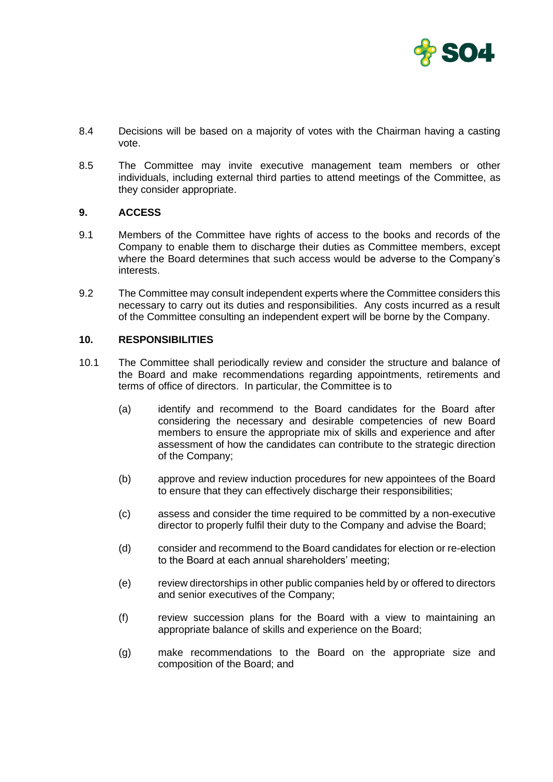

- 8.4 Decisions will be based on a majority of votes with the Chairman having a casting vote.
- 8.5 The Committee may invite executive management team members or other individuals, including external third parties to attend meetings of the Committee, as they consider appropriate.

### **9. ACCESS**

- 9.1 Members of the Committee have rights of access to the books and records of the Company to enable them to discharge their duties as Committee members, except where the Board determines that such access would be adverse to the Company's interests.
- 9.2 The Committee may consult independent experts where the Committee considers this necessary to carry out its duties and responsibilities. Any costs incurred as a result of the Committee consulting an independent expert will be borne by the Company.

#### **10. RESPONSIBILITIES**

- 10.1 The Committee shall periodically review and consider the structure and balance of the Board and make recommendations regarding appointments, retirements and terms of office of directors. In particular, the Committee is to
	- (a) identify and recommend to the Board candidates for the Board after considering the necessary and desirable competencies of new Board members to ensure the appropriate mix of skills and experience and after assessment of how the candidates can contribute to the strategic direction of the Company;
	- (b) approve and review induction procedures for new appointees of the Board to ensure that they can effectively discharge their responsibilities;
	- (c) assess and consider the time required to be committed by a non-executive director to properly fulfil their duty to the Company and advise the Board;
	- (d) consider and recommend to the Board candidates for election or re-election to the Board at each annual shareholders' meeting;
	- (e) review directorships in other public companies held by or offered to directors and senior executives of the Company;
	- (f) review succession plans for the Board with a view to maintaining an appropriate balance of skills and experience on the Board;
	- (g) make recommendations to the Board on the appropriate size and composition of the Board; and